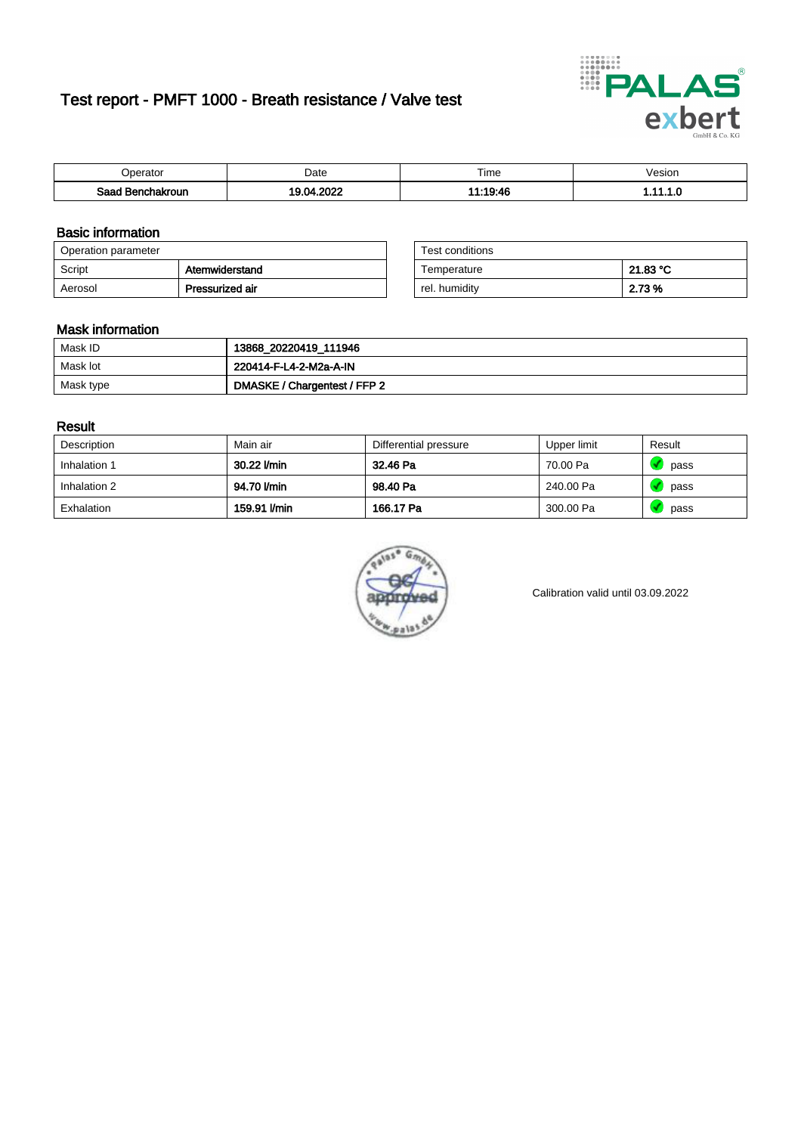# Test report - PMFT 1000 - Breath resistance / Valve test



| <b>'</b> perator      | Date | $- \cdot$<br><b>Time</b> | /esion |
|-----------------------|------|--------------------------|--------|
| Saad<br>ehakroun<br>. | 0000 | 1.10.10                  | .      |

### Basic information

| Operation parameter |                 | Test conditions |          |
|---------------------|-----------------|-----------------|----------|
| Script              | Atemwiderstand  | Temperature     | 21.83 °C |
| Aerosol             | Pressurized air | rel. humidity   | 2.73 %   |

| Test conditions |          |
|-----------------|----------|
| Temperature     | 21.83 °C |
| rel. humidity   | 2.73 %   |

#### Mask information

| Mask ID   | 13868_20220419_111946        |
|-----------|------------------------------|
| Mask lot  | 220414-F-L4-2-M2a-A-IN       |
| Mask type | DMASKE / Chargentest / FFP 2 |

### Result

| Description  | Main air     | Differential pressure | Upper limit | Result |
|--------------|--------------|-----------------------|-------------|--------|
| Inhalation 1 | 30.22 l/min  | 32.46 Pa              | 70.00 Pa    | pass   |
| Inhalation 2 | 94.70 l/min  | 98.40 Pa              | 240.00 Pa   | pass   |
| Exhalation   | 159.91 l/min | 166.17 Pa             | 300.00 Pa   | pass   |



Calibration valid until 03.09.2022